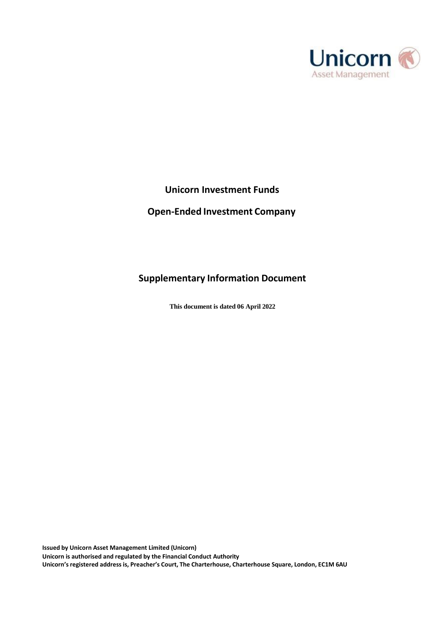

# **Unicorn Investment Funds**

# **Open-Ended Investment Company**

# **Supplementary Information Document**

**This document is dated 06 April 2022**

**Issued by Unicorn Asset Management Limited (Unicorn) Unicorn is authorised and regulated by the Financial Conduct Authority Unicorn'sregistered address is, Preacher's Court, The Charterhouse, Charterhouse Square, London, EC1M 6AU**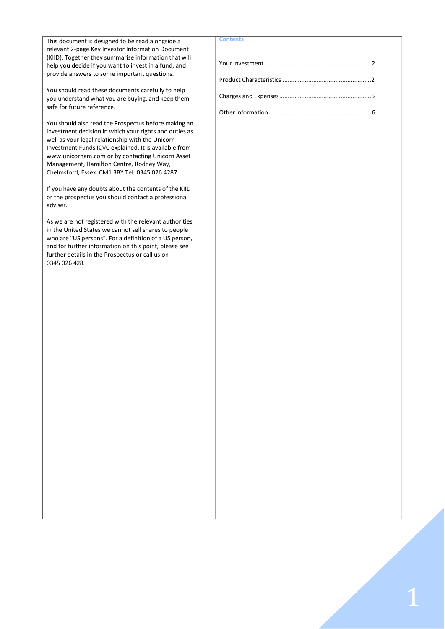| This document is designed to be read alongside a       | Contents |
|--------------------------------------------------------|----------|
| relevant 2-page Key Investor Information Document      |          |
| (KIID). Together they summarise information that will  |          |
| help you decide if you want to invest in a fund, and   |          |
| provide answers to some important questions.           |          |
|                                                        |          |
|                                                        |          |
| You should read these documents carefully to help      |          |
| you understand what you are buying, and keep them      |          |
| safe for future reference.                             |          |
|                                                        |          |
| You should also read the Prospectus before making an   |          |
| investment decision in which your rights and duties as |          |
| well as your legal relationship with the Unicorn       |          |
| Investment Funds ICVC explained. It is available from  |          |
| www.unicornam.com or by contacting Unicorn Asset       |          |
| Management, Hamilton Centre, Rodney Way,               |          |
| Chelmsford, Essex CM1 3BY Tel: 0345 026 4287.          |          |
|                                                        |          |
|                                                        |          |
| If you have any doubts about the contents of the KIID  |          |
| or the prospectus you should contact a professional    |          |
| adviser.                                               |          |
|                                                        |          |
| As we are not registered with the relevant authorities |          |
| in the United States we cannot sell shares to people   |          |
| who are "US persons". For a definition of a US person, |          |
| and for further information on this point, please see  |          |
| further details in the Prospectus or call us on        |          |
| 0345 026 428.                                          |          |
|                                                        |          |
|                                                        |          |
|                                                        |          |
|                                                        |          |
|                                                        |          |
|                                                        |          |
|                                                        |          |
|                                                        |          |
|                                                        |          |
|                                                        |          |
|                                                        |          |
|                                                        |          |
|                                                        |          |
|                                                        |          |
|                                                        |          |
|                                                        |          |
|                                                        |          |
|                                                        |          |
|                                                        |          |
|                                                        |          |
|                                                        |          |
|                                                        |          |
|                                                        |          |
|                                                        |          |
|                                                        |          |
|                                                        |          |
|                                                        |          |
|                                                        |          |
|                                                        |          |
|                                                        |          |
|                                                        |          |
|                                                        |          |
|                                                        |          |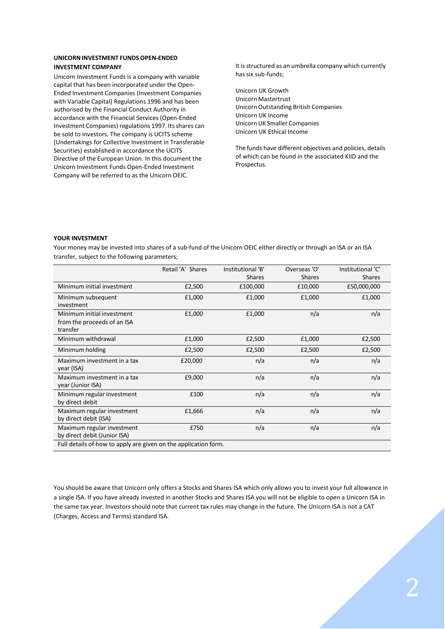# **UNICORNINVESTMENT FUNDS OPEN-ENDED INVESTMENT COMPANY**

Unicorn Investment Funds is a company with variable capital that has been incorporated under the Open-Ended Investment Companies (Investment Companies with Variable Capital) Regulations 1996 and has been authorised by the Financial Conduct Authority in accordance with the Financial Services (Open-Ended Investment Companies) regulations 1997. Its shares can be sold to investors. The company is UCITS scheme (Undertakings for Collective Investment in Transferable Securities) established in accordance the UCITS Directive of the European Union. In this document the Unicorn Investment Funds Open-Ended Investment Company will be referred to as the Unicorn OEIC.

It is structured as an umbrella company which currently has six sub-funds;

Unicorn UK Growth Unicorn Mastertrust UnicornOutstanding British Companies Unicorn UK Income UnicornUK Smaller Companies Unicorn UK Ethical Income

The funds have different objectives and policies, details of which can be found in the associated KIID and the Prospectus.

# <span id="page-2-0"></span>**YOUR INVESTMENT**

Your money may be invested into shares of a sub-fund of the Unicorn OEIC either directly or through an ISA or an ISA transfer, subject to the following parameters;

|                                                                       | Retail 'A' Shares | Institutional 'B'<br><b>Shares</b> | Overseas 'O'<br><b>Shares</b> | Institutional 'C'<br><b>Shares</b> |  |  |  |
|-----------------------------------------------------------------------|-------------------|------------------------------------|-------------------------------|------------------------------------|--|--|--|
| Minimum initial investment                                            | £2,500            | £100,000                           | £10,000                       | £50,000,000                        |  |  |  |
| Minimum subsequent<br>investment                                      | £1,000            | £1,000                             | £1,000                        | £1,000                             |  |  |  |
| Minimum initial investment<br>from the proceeds of an ISA<br>transfer | £1,000            | £1,000                             | n/a                           | n/a                                |  |  |  |
| Minimum withdrawal                                                    | £1,000            | £2,500                             | £1,000                        | £2,500                             |  |  |  |
| Minimum holding                                                       | £2,500            | £2,500                             | £2,500                        | £2,500                             |  |  |  |
| Maximum investment in a tax<br>year (ISA)                             | £20,000           | n/a                                | n/a                           | n/a                                |  |  |  |
| Maximum investment in a tax<br>year (Junior ISA)                      | £9,000            | n/a                                | n/a                           | n/a                                |  |  |  |
| Minimum regular investment<br>by direct debit                         | £100              | n/a                                | n/a                           | n/a                                |  |  |  |
| Maximum regular investment<br>by direct debit (ISA)                   | £1,666            | n/a                                | n/a                           | n/a                                |  |  |  |
| Maximum regular investment<br>by direct debit (Junior ISA)            | £750              | n/a                                | n/a                           | n/a                                |  |  |  |
| Full details of how to apply are given on the application form.       |                   |                                    |                               |                                    |  |  |  |

You should be aware that Unicorn only offers a Stocks and Shares ISA which only allows you to invest your full allowance in a single ISA. If you have already invested in another Stocks and Shares ISA you will not be eligible to open a Unicorn ISA in the same tax year. Investors should note that current tax rules may change in the future. The Unicorn ISA is not a CAT (Charges, Access and Terms) standard ISA.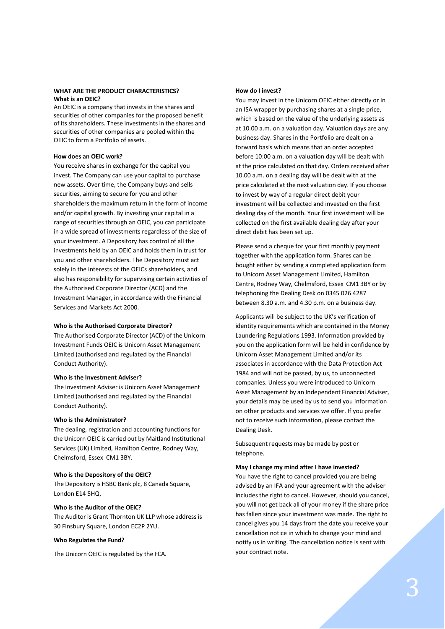# **WHAT ARE THE PRODUCT CHARACTERISTICS? What is an OEIC?**

An OEIC is a company that invests in the shares and securities of other companies for the proposed benefit of its shareholders. These investments in the shares and securities of other companies are pooled within the OEIC to form a Portfolio of assets.

# **How does an OEIC work?**

You receive shares in exchange for the capital you invest. The Company can use your capital to purchase new assets. Over time, the Company buys and sells securities, aiming to secure for you and other shareholders the maximum return in the form of income and/or capital growth. By investing your capital in a range of securities through an OEIC, you can participate in a wide spread of investments regardless of the size of your investment. A Depository has control of all the investments held by an OEIC and holds them in trust for you and other shareholders. The Depository must act solely in the interests of the OEICs shareholders, and also has responsibility for supervising certain activities of the Authorised Corporate Director (ACD) and the Investment Manager, in accordance with the Financial Services and Markets Act 2000.

#### **Who is the Authorised Corporate Director?**

The Authorised Corporate Director (ACD) of the Unicorn Investment Funds OEIC is Unicorn Asset Management Limited (authorised and regulated by the Financial Conduct Authority).

# **Who is the Investment Adviser?**

The Investment Adviser is Unicorn Asset Management Limited (authorised and regulated by the Financial Conduct Authority).

# **Who is the Administrator?**

The dealing, registration and accounting functions for the Unicorn OEIC is carried out by Maitland Institutional Services (UK) Limited, Hamilton Centre, Rodney Way, Chelmsford, Essex CM1 3BY.

#### **Who is the Depository of the OEIC?**

The Depository is HSBC Bank plc, 8 Canada Square, London E14 5HQ.

# **Who is the Auditor of the OEIC?**

The Auditor is Grant Thornton UK LLP whose address is 30 Finsbury Square, London EC2P 2YU.

#### **Who Regulates the Fund?**

The Unicorn OEIC is regulated by the FCA.

## **How do I invest?**

You may invest in the Unicorn OEIC either directly or in an ISA wrapper by purchasing shares at a single price, which is based on the value of the underlying assets as at 10.00 a.m. on a valuation day. Valuation days are any business day. Shares in the Portfolio are dealt on a forward basis which means that an order accepted before 10:00 a.m. on a valuation day will be dealt with at the price calculated on that day. Orders received after 10.00 a.m. on a dealing day will be dealt with at the price calculated at the next valuation day. If you choose to invest by way of a regular direct debit your investment will be collected and invested on the first dealing day of the month. Your first investment will be collected on the first available dealing day after your direct debit has been set up.

Please send a cheque for your first monthly payment together with the application form. Shares can be bought either by sending a completed application form to Unicorn Asset Management Limited, Hamilton Centre, Rodney Way, Chelmsford, Essex CM1 3BY or by telephoning the Dealing Desk on 0345 026 4287 between 8.30 a.m. and 4.30 p.m. on a business day.

Applicants will be subject to the UK's verification of identity requirements which are contained in the Money Laundering Regulations 1993. Information provided by you on the application form will be held in confidence by Unicorn Asset Management Limited and/or its associates in accordance with the Data Protection Act 1984 and will not be passed, by us, to unconnected companies. Unless you were introduced to Unicorn Asset Management by an Independent Financial Adviser, your details may be used by us to send you information on other products and services we offer. If you prefer not to receive such information, please contact the Dealing Desk.

Subsequent requests may be made by post or telephone.

# **May I change my mind after I have invested?**

You have the right to cancel provided you are being advised by an IFA and your agreement with the adviser includes the right to cancel. However, should you cancel, you will not get back all of your money if the share price has fallen since your investment was made. The right to cancel gives you 14 days from the date you receive your cancellation notice in which to change your mind and notify us in writing. The cancellation notice is sent with your contract note.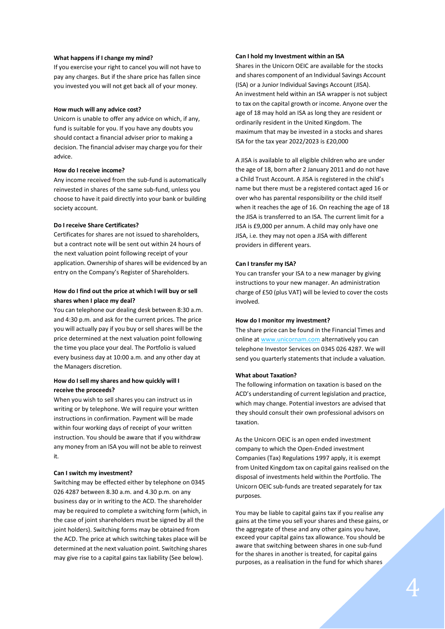#### **What happens if I change my mind?**

If you exercise your right to cancel you will not have to pay any charges. But if the share price has fallen since you invested you will not get back all of your money.

#### **How much will any advice cost?**

Unicorn is unable to offer any advice on which, if any, fund is suitable for you. If you have any doubts you should contact a financial adviser prior to making a decision. The financial adviser may charge you for their advice.

## **How do I receive income?**

Any income received from the sub-fund is automatically reinvested in shares of the same sub-fund, unless you choose to have it paid directly into your bank or building society account.

#### **Do I receive Share Certificates?**

Certificates for shares are not issued to shareholders, but a contract note will be sent out within 24 hours of the next valuation point following receipt of your application. Ownership of shares will be evidenced by an entry on the Company's Register of Shareholders.

# **How do I find out the price at which I will buy or sell shares when I place my deal?**

You can telephone our dealing desk between 8:30 a.m. and 4:30 p.m. and ask for the current prices. The price you will actually pay if you buy or sell shares will be the price determined at the next valuation point following the time you place your deal. The Portfolio is valued every business day at 10:00 a.m. and any other day at the Managers discretion.

# **How do I sell my shares and how quickly will I receive the proceeds?**

When you wish to sell shares you can instruct us in writing or by telephone. We will require your written instructions in confirmation. Payment will be made within four working days of receipt of your written instruction. You should be aware that if you withdraw any money from an ISA you will not be able to reinvest it.

#### **Can I switch my investment?**

Switching may be effected either by telephone on 0345 026 4287 between 8.30 a.m. and 4.30 p.m. on any business day or in writing to the ACD. The shareholder may be required to complete a switching form (which, in the case of joint shareholders must be signed by all the joint holders). Switching forms may be obtained from the ACD. The price at which switching takes place will be determined at the next valuation point. Switching shares may give rise to a capital gains tax liability (See below).

# **Can I hold my Investment within an ISA**

Shares in the Unicorn OEIC are available for the stocks and shares component of an Individual Savings Account (ISA) or a Junior Individual Savings Account (JISA). An investment held within an ISA wrapper is not subject to tax on the capital growth or income. Anyone over the age of 18 may hold an ISA as long they are resident or ordinarily resident in the United Kingdom. The maximum that may be invested in a stocks and shares ISA for the tax year 2022/2023 is £20,000

A JISA is available to all eligible children who are under the age of 18, born after 2 January 2011 and do not have a Child Trust Account. A JISA is registered in the child's name but there must be a registered contact aged 16 or over who has parental responsibility or the child itself when it reaches the age of 16. On reaching the age of 18 the JISA is transferred to an ISA. The current limit for a JISA is £9,000 per annum. A child may only have one JISA, i.e. they may not open a JISA with different providers in different years.

#### **Can I transfer my ISA?**

You can transfer your ISA to a new manager by giving instructions to your new manager. An administration charge of £50 (plus VAT) will be levied to cover the costs involved.

#### **How do I monitor my investment?**

The share price can be found in the Financial Times and online a[t www.unicornam.com](http://www.unicornam.com/) alternatively you can telephone Investor Services on 0345 026 4287. We will send you quarterly statements that include a valuation.

#### **What about Taxation?**

The following information on taxation is based on the ACD's understanding of current legislation and practice, which may change. Potential investors are advised that they should consult their own professional advisors on taxation.

As the Unicorn OEIC is an open ended investment company to which the Open-Ended investment Companies (Tax) Regulations 1997 apply, it is exempt from United Kingdom tax on capital gains realised on the disposal of investments held within the Portfolio. The Unicorn OEIC sub-funds are treated separately for tax purposes.

You may be liable to capital gains tax if you realise any gains at the time you sell your shares and these gains, or the aggregate of these and any other gains you have, exceed your capital gains tax allowance. You should be aware that switching between shares in one sub-fund for the shares in another is treated, for capital gains purposes, as a realisation in the fund for which shares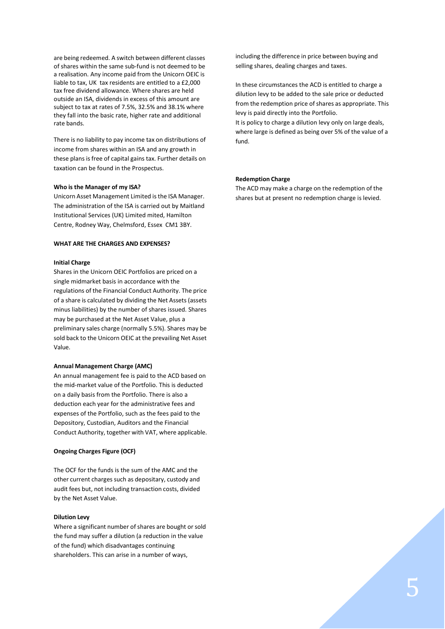are being redeemed. A switch between different classes of shares within the same sub-fund is not deemed to be a realisation. Any income paid from the Unicorn OEIC is liable to tax, UK tax residents are entitled to a £2,000 tax free dividend allowance. Where shares are held outside an ISA, dividends in excess of this amount are subject to tax at rates of 7.5%, 32.5% and 38.1% where they fall into the basic rate, higher rate and additional rate bands.

There is no liability to pay income tax on distributions of income from shares within an ISA and any growth in these plans is free of capital gains tax. Further details on taxation can be found in the Prospectus.

# **Who is the Manager of my ISA?**

Unicorn Asset Management Limited isthe ISA Manager. The administration of the ISA is carried out by Maitland Institutional Services (UK) Limited mited, Hamilton Centre, Rodney Way, Chelmsford, Essex CM1 3BY.

# **WHAT ARE THE CHARGES AND EXPENSES?**

#### **Initial Charge**

Shares in the Unicorn OEIC Portfolios are priced on a single midmarket basis in accordance with the regulations of the Financial Conduct Authority. The price of a share is calculated by dividing the Net Assets (assets minus liabilities) by the number of shares issued. Shares may be purchased at the Net Asset Value, plus a preliminary sales charge (normally 5.5%). Shares may be sold back to the Unicorn OEIC at the prevailing Net Asset Value.

#### **Annual Management Charge (AMC)**

An annual management fee is paid to the ACD based on the mid-market value of the Portfolio. This is deducted on a daily basis from the Portfolio. There is also a deduction each year for the administrative fees and expenses of the Portfolio, such as the fees paid to the Depository, Custodian, Auditors and the Financial Conduct Authority, together with VAT, where applicable.

# **Ongoing Charges Figure (OCF)**

The OCF for the funds is the sum of the AMC and the other current charges such as depositary, custody and audit fees but, not including transaction costs, divided by the Net Asset Value.

#### **Dilution Levy**

Where a significant number of shares are bought or sold the fund may suffer a dilution (a reduction in the value of the fund) which disadvantages continuing shareholders. This can arise in a number of ways,

including the difference in price between buying and selling shares, dealing charges and taxes.

In these circumstances the ACD is entitled to charge a dilution levy to be added to the sale price or deducted from the redemption price of shares as appropriate. This levy is paid directly into the Portfolio.

It is policy to charge a dilution levy only on large deals, where large is defined as being over 5% of the value of a fund.

#### **Redemption Charge**

The ACD may make a charge on the redemption of the shares but at present no redemption charge is levied.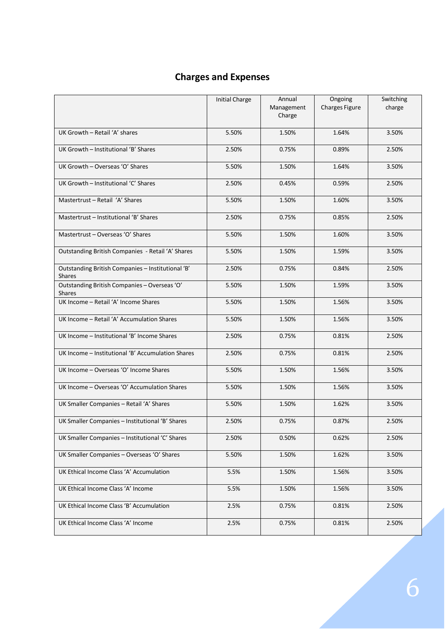# **Charges and Expenses**

<span id="page-6-0"></span>

|                                                                    | <b>Initial Charge</b> | Annual<br>Management<br>Charge | Ongoing<br>Charges Figure | Switching<br>charge |
|--------------------------------------------------------------------|-----------------------|--------------------------------|---------------------------|---------------------|
| UK Growth - Retail 'A' shares                                      | 5.50%                 | 1.50%                          | 1.64%                     | 3.50%               |
| UK Growth - Institutional 'B' Shares                               | 2.50%                 | 0.75%                          | 0.89%                     | 2.50%               |
| UK Growth - Overseas 'O' Shares                                    | 5.50%                 | 1.50%                          | 1.64%                     | 3.50%               |
| UK Growth - Institutional 'C' Shares                               | 2.50%                 | 0.45%                          | 0.59%                     | 2.50%               |
| Mastertrust - Retail 'A' Shares                                    | 5.50%                 | 1.50%                          | 1.60%                     | 3.50%               |
| Mastertrust - Institutional 'B' Shares                             | 2.50%                 | 0.75%                          | 0.85%                     | 2.50%               |
| Mastertrust - Overseas 'O' Shares                                  | 5.50%                 | 1.50%                          | 1.60%                     | 3.50%               |
| Outstanding British Companies - Retail 'A' Shares                  | 5.50%                 | 1.50%                          | 1.59%                     | 3.50%               |
| Outstanding British Companies - Institutional 'B'<br><b>Shares</b> | 2.50%                 | 0.75%                          | 0.84%                     | 2.50%               |
| Outstanding British Companies - Overseas 'O'<br><b>Shares</b>      | 5.50%                 | 1.50%                          | 1.59%                     | 3.50%               |
| UK Income - Retail 'A' Income Shares                               | 5.50%                 | 1.50%                          | 1.56%                     | 3.50%               |
| UK Income - Retail 'A' Accumulation Shares                         | 5.50%                 | 1.50%                          | 1.56%                     | 3.50%               |
| UK Income - Institutional 'B' Income Shares                        | 2.50%                 | 0.75%                          | 0.81%                     | 2.50%               |
| UK Income - Institutional 'B' Accumulation Shares                  | 2.50%                 | 0.75%                          | 0.81%                     | 2.50%               |
| UK Income - Overseas 'O' Income Shares                             | 5.50%                 | 1.50%                          | 1.56%                     | 3.50%               |
| UK Income - Overseas 'O' Accumulation Shares                       | 5.50%                 | 1.50%                          | 1.56%                     | 3.50%               |
| UK Smaller Companies - Retail 'A' Shares                           | 5.50%                 | 1.50%                          | 1.62%                     | 3.50%               |
| UK Smaller Companies - Institutional 'B' Shares                    | 2.50%                 | 0.75%                          | 0.87%                     | 2.50%               |
| UK Smaller Companies - Institutional 'C' Shares                    | 2.50%                 | 0.50%                          | 0.62%                     | 2.50%               |
| UK Smaller Companies - Overseas 'O' Shares                         | 5.50%                 | 1.50%                          | 1.62%                     | 3.50%               |
| UK Ethical Income Class 'A' Accumulation                           | 5.5%                  | 1.50%                          | 1.56%                     | 3.50%               |
| UK Ethical Income Class 'A' Income                                 | 5.5%                  | 1.50%                          | 1.56%                     | 3.50%               |
| UK Ethical Income Class 'B' Accumulation                           | 2.5%                  | 0.75%                          | 0.81%                     | 2.50%               |
| UK Ethical Income Class 'A' Income                                 | 2.5%                  | 0.75%                          | 0.81%                     | 2.50%               |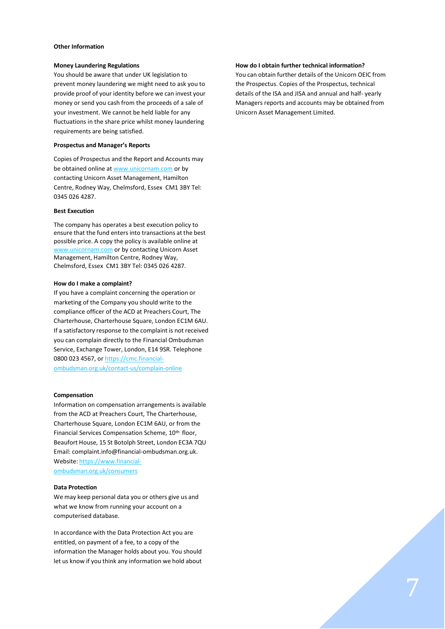#### <span id="page-7-0"></span>**Other Information**

#### **Money Laundering Regulations**

You should be aware that under UK legislation to prevent money laundering we might need to ask you to provide proof of your identity before we can invest your money or send you cash from the proceeds of a sale of your investment. We cannot be held liable for any fluctuations in the share price whilst money laundering requirements are being satisfied.

#### **Prospectus and Manager's Reports**

Copies of Prospectus and the Report and Accounts may be obtained online a[t www.unicornam.com](http://www.unicornam.com/) or by contacting Unicorn Asset Management, Hamilton Centre, Rodney Way, Chelmsford, Essex CM1 3BY Tel: 0345 026 4287.

#### **Best Execution**

The company has operates a best execution policy to ensure that the fund enters into transactions at the best possible price. A copy the policy is available online at [www.unicornam.com](http://www.unicornam.com/) or by contacting Unicorn Asset Management, Hamilton Centre, Rodney Way, Chelmsford, Essex CM1 3BY Tel: 0345 026 4287.

#### **How do I make a complaint?**

If you have a complaint concerning the operation or marketing of the Company you should write to the compliance officer of the ACD at Preachers Court, The Charterhouse, Charterhouse Square, London EC1M 6AU. If a satisfactory response to the complaint is not received you can complain directly to the Financial Ombudsman Service, Exchange Tower, London, E14 9SR. Telephone 0800 023 4567, o[r https://cmc.financial](https://cmc.financial-ombudsman.org.uk/contact-us/complain-online)[ombudsman.org.uk/contact-us/complain-online](https://cmc.financial-ombudsman.org.uk/contact-us/complain-online)

#### **Compensation**

Information on compensation arrangements is available from the ACD at Preachers Court, The Charterhouse, Charterhouse Square, London EC1M 6AU, or from the Financial Services Compensation Scheme, 10<sup>th</sup> floor, Beaufort House, 15 St Botolph Street, London EC3A 7QU Email[: complaint.info@financial-ombudsman.org.uk.](mailto:complaint.info@financial-ombudsman.org.uk) Website: [https://www.financial](https://www.financial-ombudsman.org.uk/consumers)[ombudsman.org.uk/consumers](https://www.financial-ombudsman.org.uk/consumers)

#### **Data Protection**

We may keep personal data you or others give us and what we know from running your account on a computerised database.

In accordance with the Data Protection Act you are entitled, on payment of a fee, to a copy of the information the Manager holds about you. You should let us know if you think any information we hold about

#### **How do I obtain further technical information?**

You can obtain further details of the Unicorn OEIC from the Prospectus. Copies of the Prospectus, technical details of the ISA and JISA and annual and half- yearly Managers reports and accounts may be obtained from Unicorn Asset Management Limited.

7